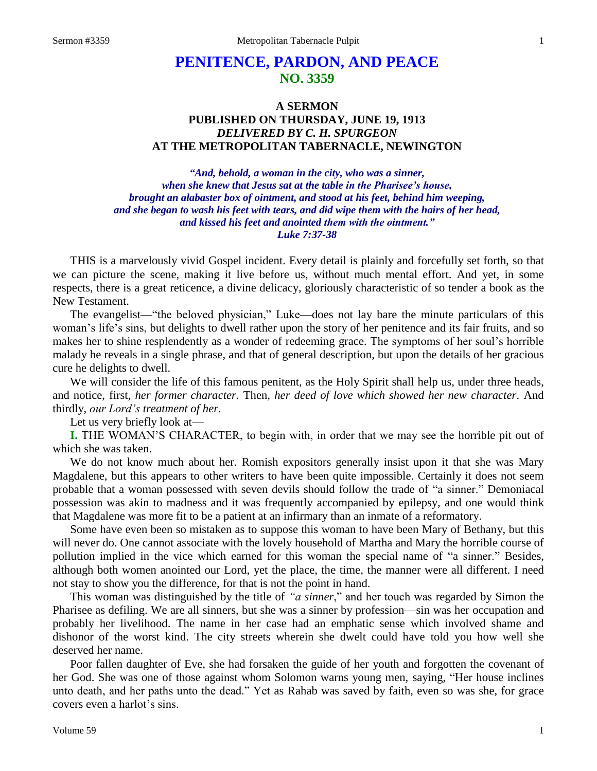## **PENITENCE, PARDON, AND PEACE NO. 3359**

## **A SERMON PUBLISHED ON THURSDAY, JUNE 19, 1913** *DELIVERED BY C. H. SPURGEON* **AT THE METROPOLITAN TABERNACLE, NEWINGTON**

*"And, behold, a woman in the city, who was a sinner, when she knew that Jesus sat at the table in the Pharisee's house, brought an alabaster box of ointment, and stood at his feet, behind him weeping, and she began to wash his feet with tears, and did wipe them with the hairs of her head, and kissed his feet and anointed them with the ointment." Luke 7:37-38*

THIS is a marvelously vivid Gospel incident. Every detail is plainly and forcefully set forth, so that we can picture the scene, making it live before us, without much mental effort. And yet, in some respects, there is a great reticence, a divine delicacy, gloriously characteristic of so tender a book as the New Testament.

The evangelist—"the beloved physician," Luke—does not lay bare the minute particulars of this woman's life's sins, but delights to dwell rather upon the story of her penitence and its fair fruits, and so makes her to shine resplendently as a wonder of redeeming grace. The symptoms of her soul's horrible malady he reveals in a single phrase, and that of general description, but upon the details of her gracious cure he delights to dwell.

We will consider the life of this famous penitent, as the Holy Spirit shall help us, under three heads, and notice, first, *her former character.* Then, *her deed of love which showed her new character.* And thirdly, *our Lord's treatment of her*.

Let us very briefly look at—

**I.** THE WOMAN'S CHARACTER, to begin with, in order that we may see the horrible pit out of which she was taken.

We do not know much about her. Romish expositors generally insist upon it that she was Mary Magdalene, but this appears to other writers to have been quite impossible. Certainly it does not seem probable that a woman possessed with seven devils should follow the trade of "a sinner." Demoniacal possession was akin to madness and it was frequently accompanied by epilepsy, and one would think that Magdalene was more fit to be a patient at an infirmary than an inmate of a reformatory.

Some have even been so mistaken as to suppose this woman to have been Mary of Bethany, but this will never do. One cannot associate with the lovely household of Martha and Mary the horrible course of pollution implied in the vice which earned for this woman the special name of "a sinner." Besides, although both women anointed our Lord, yet the place, the time, the manner were all different. I need not stay to show you the difference, for that is not the point in hand.

This woman was distinguished by the title of *"a sinner*," and her touch was regarded by Simon the Pharisee as defiling. We are all sinners, but she was a sinner by profession—sin was her occupation and probably her livelihood. The name in her case had an emphatic sense which involved shame and dishonor of the worst kind. The city streets wherein she dwelt could have told you how well she deserved her name.

Poor fallen daughter of Eve, she had forsaken the guide of her youth and forgotten the covenant of her God. She was one of those against whom Solomon warns young men, saying, "Her house inclines unto death, and her paths unto the dead." Yet as Rahab was saved by faith, even so was she, for grace covers even a harlot's sins.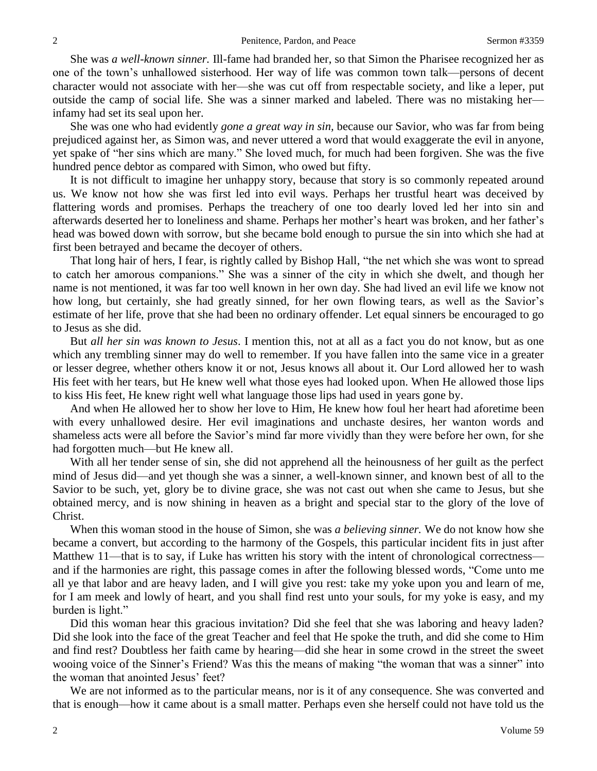She was *a well-known sinner.* Ill-fame had branded her, so that Simon the Pharisee recognized her as one of the town's unhallowed sisterhood. Her way of life was common town talk—persons of decent character would not associate with her—she was cut off from respectable society, and like a leper, put outside the camp of social life. She was a sinner marked and labeled. There was no mistaking her infamy had set its seal upon her.

She was one who had evidently *gone a great way in sin,* because our Savior, who was far from being prejudiced against her, as Simon was, and never uttered a word that would exaggerate the evil in anyone, yet spake of "her sins which are many." She loved much, for much had been forgiven. She was the five hundred pence debtor as compared with Simon, who owed but fifty.

It is not difficult to imagine her unhappy story, because that story is so commonly repeated around us. We know not how she was first led into evil ways. Perhaps her trustful heart was deceived by flattering words and promises. Perhaps the treachery of one too dearly loved led her into sin and afterwards deserted her to loneliness and shame. Perhaps her mother's heart was broken, and her father's head was bowed down with sorrow, but she became bold enough to pursue the sin into which she had at first been betrayed and became the decoyer of others.

That long hair of hers, I fear, is rightly called by Bishop Hall, "the net which she was wont to spread to catch her amorous companions." She was a sinner of the city in which she dwelt, and though her name is not mentioned, it was far too well known in her own day. She had lived an evil life we know not how long, but certainly, she had greatly sinned, for her own flowing tears, as well as the Savior's estimate of her life, prove that she had been no ordinary offender. Let equal sinners be encouraged to go to Jesus as she did.

But *all her sin was known to Jesus*. I mention this, not at all as a fact you do not know, but as one which any trembling sinner may do well to remember. If you have fallen into the same vice in a greater or lesser degree, whether others know it or not, Jesus knows all about it. Our Lord allowed her to wash His feet with her tears, but He knew well what those eyes had looked upon. When He allowed those lips to kiss His feet, He knew right well what language those lips had used in years gone by.

And when He allowed her to show her love to Him, He knew how foul her heart had aforetime been with every unhallowed desire. Her evil imaginations and unchaste desires, her wanton words and shameless acts were all before the Savior's mind far more vividly than they were before her own, for she had forgotten much—but He knew all.

With all her tender sense of sin, she did not apprehend all the heinousness of her guilt as the perfect mind of Jesus did—and yet though she was a sinner, a well-known sinner, and known best of all to the Savior to be such, yet, glory be to divine grace, she was not cast out when she came to Jesus, but she obtained mercy, and is now shining in heaven as a bright and special star to the glory of the love of Christ.

When this woman stood in the house of Simon, she was *a believing sinner.* We do not know how she became a convert, but according to the harmony of the Gospels, this particular incident fits in just after Matthew 11—that is to say, if Luke has written his story with the intent of chronological correctness and if the harmonies are right, this passage comes in after the following blessed words, "Come unto me all ye that labor and are heavy laden, and I will give you rest: take my yoke upon you and learn of me, for I am meek and lowly of heart, and you shall find rest unto your souls, for my yoke is easy, and my burden is light."

Did this woman hear this gracious invitation? Did she feel that she was laboring and heavy laden? Did she look into the face of the great Teacher and feel that He spoke the truth, and did she come to Him and find rest? Doubtless her faith came by hearing—did she hear in some crowd in the street the sweet wooing voice of the Sinner's Friend? Was this the means of making "the woman that was a sinner" into the woman that anointed Jesus' feet?

We are not informed as to the particular means, nor is it of any consequence. She was converted and that is enough—how it came about is a small matter. Perhaps even she herself could not have told us the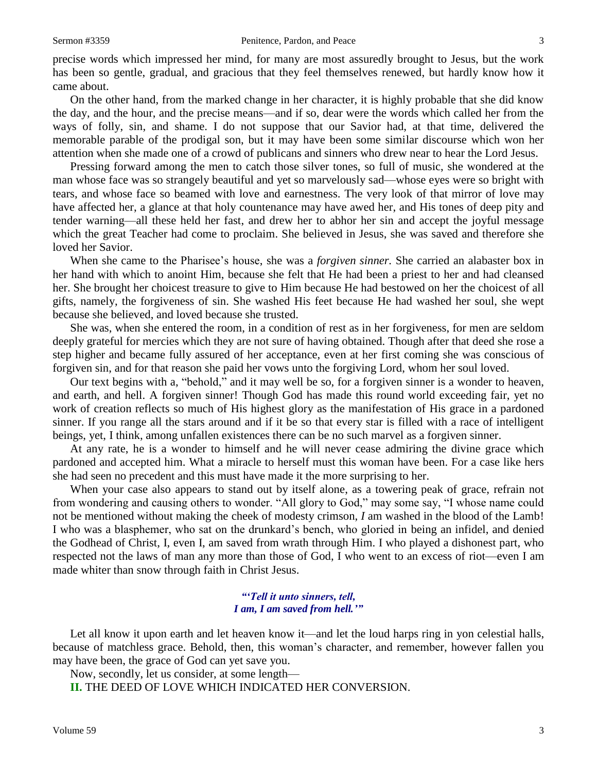precise words which impressed her mind, for many are most assuredly brought to Jesus, but the work has been so gentle, gradual, and gracious that they feel themselves renewed, but hardly know how it came about.

On the other hand, from the marked change in her character, it is highly probable that she did know the day, and the hour, and the precise means—and if so, dear were the words which called her from the ways of folly, sin, and shame. I do not suppose that our Savior had, at that time, delivered the memorable parable of the prodigal son, but it may have been some similar discourse which won her attention when she made one of a crowd of publicans and sinners who drew near to hear the Lord Jesus.

Pressing forward among the men to catch those silver tones, so full of music, she wondered at the man whose face was so strangely beautiful and yet so marvelously sad—whose eyes were so bright with tears, and whose face so beamed with love and earnestness. The very look of that mirror of love may have affected her, a glance at that holy countenance may have awed her, and His tones of deep pity and tender warning—all these held her fast, and drew her to abhor her sin and accept the joyful message which the great Teacher had come to proclaim. She believed in Jesus, she was saved and therefore she loved her Savior.

When she came to the Pharisee's house, she was a *forgiven sinner.* She carried an alabaster box in her hand with which to anoint Him, because she felt that He had been a priest to her and had cleansed her. She brought her choicest treasure to give to Him because He had bestowed on her the choicest of all gifts, namely, the forgiveness of sin. She washed His feet because He had washed her soul, she wept because she believed, and loved because she trusted.

She was, when she entered the room, in a condition of rest as in her forgiveness, for men are seldom deeply grateful for mercies which they are not sure of having obtained. Though after that deed she rose a step higher and became fully assured of her acceptance, even at her first coming she was conscious of forgiven sin, and for that reason she paid her vows unto the forgiving Lord, whom her soul loved.

Our text begins with a, "behold," and it may well be so, for a forgiven sinner is a wonder to heaven, and earth, and hell. A forgiven sinner! Though God has made this round world exceeding fair, yet no work of creation reflects so much of His highest glory as the manifestation of His grace in a pardoned sinner. If you range all the stars around and if it be so that every star is filled with a race of intelligent beings, yet, I think, among unfallen existences there can be no such marvel as a forgiven sinner.

At any rate, he is a wonder to himself and he will never cease admiring the divine grace which pardoned and accepted him. What a miracle to herself must this woman have been. For a case like hers she had seen no precedent and this must have made it the more surprising to her.

When your case also appears to stand out by itself alone, as a towering peak of grace, refrain not from wondering and causing others to wonder. "All glory to God," may some say, "I whose name could not be mentioned without making the cheek of modesty crimson, *I* am washed in the blood of the Lamb! I who was a blasphemer, who sat on the drunkard's bench, who gloried in being an infidel, and denied the Godhead of Christ, I, even I, am saved from wrath through Him. I who played a dishonest part, who respected not the laws of man any more than those of God, I who went to an excess of riot—even I am made whiter than snow through faith in Christ Jesus.

## *"'Tell it unto sinners, tell, I am, I am saved from hell.'"*

Let all know it upon earth and let heaven know it—and let the loud harps ring in yon celestial halls, because of matchless grace. Behold, then, this woman's character, and remember, however fallen you may have been, the grace of God can yet save you.

Now, secondly, let us consider, at some length—

**II.** THE DEED OF LOVE WHICH INDICATED HER CONVERSION.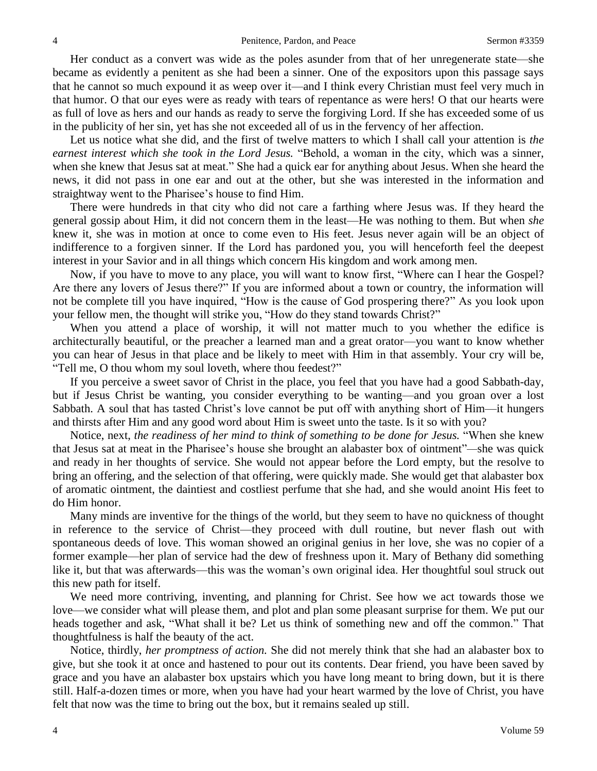Her conduct as a convert was wide as the poles asunder from that of her unregenerate state—she became as evidently a penitent as she had been a sinner. One of the expositors upon this passage says that he cannot so much expound it as weep over it—and I think every Christian must feel very much in that humor. O that our eyes were as ready with tears of repentance as were hers! O that our hearts were as full of love as hers and our hands as ready to serve the forgiving Lord. If she has exceeded some of us in the publicity of her sin, yet has she not exceeded all of us in the fervency of her affection.

Let us notice what she did, and the first of twelve matters to which I shall call your attention is *the earnest interest which she took in the Lord Jesus.* "Behold, a woman in the city, which was a sinner, when she knew that Jesus sat at meat." She had a quick ear for anything about Jesus. When she heard the news, it did not pass in one ear and out at the other, but she was interested in the information and straightway went to the Pharisee's house to find Him.

There were hundreds in that city who did not care a farthing where Jesus was. If they heard the general gossip about Him, it did not concern them in the least—He was nothing to them. But when *she* knew it, she was in motion at once to come even to His feet. Jesus never again will be an object of indifference to a forgiven sinner. If the Lord has pardoned you, you will henceforth feel the deepest interest in your Savior and in all things which concern His kingdom and work among men.

Now, if you have to move to any place, you will want to know first, "Where can I hear the Gospel? Are there any lovers of Jesus there?" If you are informed about a town or country, the information will not be complete till you have inquired, "How is the cause of God prospering there?" As you look upon your fellow men, the thought will strike you, "How do they stand towards Christ?"

When you attend a place of worship, it will not matter much to you whether the edifice is architecturally beautiful, or the preacher a learned man and a great orator—you want to know whether you can hear of Jesus in that place and be likely to meet with Him in that assembly. Your cry will be, "Tell me, O thou whom my soul loveth, where thou feedest?"

If you perceive a sweet savor of Christ in the place, you feel that you have had a good Sabbath-day, but if Jesus Christ be wanting, you consider everything to be wanting—and you groan over a lost Sabbath. A soul that has tasted Christ's love cannot be put off with anything short of Him—it hungers and thirsts after Him and any good word about Him is sweet unto the taste. Is it so with you?

Notice, next, *the readiness of her mind to think of something to be done for Jesus.* "When she knew that Jesus sat at meat in the Pharisee's house she brought an alabaster box of ointment"*—*she was quick and ready in her thoughts of service. She would not appear before the Lord empty, but the resolve to bring an offering, and the selection of that offering, were quickly made. She would get that alabaster box of aromatic ointment, the daintiest and costliest perfume that she had, and she would anoint His feet to do Him honor.

Many minds are inventive for the things of the world, but they seem to have no quickness of thought in reference to the service of Christ—they proceed with dull routine, but never flash out with spontaneous deeds of love. This woman showed an original genius in her love, she was no copier of a former example—her plan of service had the dew of freshness upon it. Mary of Bethany did something like it, but that was afterwards—this was the woman's own original idea. Her thoughtful soul struck out this new path for itself.

We need more contriving, inventing, and planning for Christ. See how we act towards those we love—we consider what will please them, and plot and plan some pleasant surprise for them. We put our heads together and ask, "What shall it be? Let us think of something new and off the common." That thoughtfulness is half the beauty of the act.

Notice, thirdly, *her promptness of action.* She did not merely think that she had an alabaster box to give, but she took it at once and hastened to pour out its contents. Dear friend, you have been saved by grace and you have an alabaster box upstairs which you have long meant to bring down, but it is there still. Half-a-dozen times or more, when you have had your heart warmed by the love of Christ, you have felt that now was the time to bring out the box, but it remains sealed up still.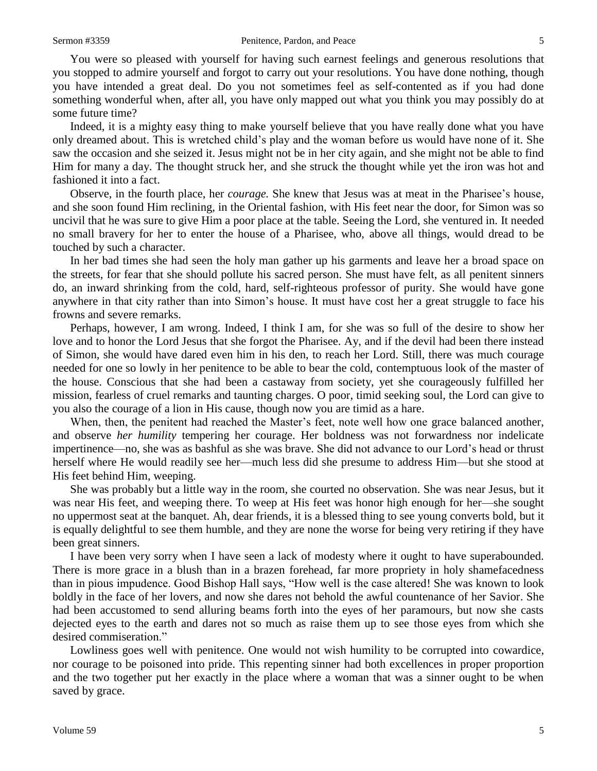You were so pleased with yourself for having such earnest feelings and generous resolutions that you stopped to admire yourself and forgot to carry out your resolutions. You have done nothing, though you have intended a great deal. Do you not sometimes feel as self-contented as if you had done something wonderful when, after all, you have only mapped out what you think you may possibly do at some future time?

Indeed, it is a mighty easy thing to make yourself believe that you have really done what you have only dreamed about. This is wretched child's play and the woman before us would have none of it. She saw the occasion and she seized it. Jesus might not be in her city again, and she might not be able to find Him for many a day. The thought struck her, and she struck the thought while yet the iron was hot and fashioned it into a fact.

Observe, in the fourth place, her *courage.* She knew that Jesus was at meat in the Pharisee's house, and she soon found Him reclining, in the Oriental fashion, with His feet near the door, for Simon was so uncivil that he was sure to give Him a poor place at the table. Seeing the Lord, she ventured in. It needed no small bravery for her to enter the house of a Pharisee, who, above all things, would dread to be touched by such a character.

In her bad times she had seen the holy man gather up his garments and leave her a broad space on the streets, for fear that she should pollute his sacred person. She must have felt, as all penitent sinners do, an inward shrinking from the cold, hard, self-righteous professor of purity. She would have gone anywhere in that city rather than into Simon's house. It must have cost her a great struggle to face his frowns and severe remarks.

Perhaps, however, I am wrong. Indeed, I think I am, for she was so full of the desire to show her love and to honor the Lord Jesus that she forgot the Pharisee. Ay, and if the devil had been there instead of Simon, she would have dared even him in his den, to reach her Lord. Still, there was much courage needed for one so lowly in her penitence to be able to bear the cold, contemptuous look of the master of the house. Conscious that she had been a castaway from society, yet she courageously fulfilled her mission, fearless of cruel remarks and taunting charges. O poor, timid seeking soul, the Lord can give to you also the courage of a lion in His cause, though now you are timid as a hare.

When, then, the penitent had reached the Master's feet, note well how one grace balanced another, and observe *her humility* tempering her courage. Her boldness was not forwardness nor indelicate impertinence—no, she was as bashful as she was brave. She did not advance to our Lord's head or thrust herself where He would readily see her—much less did she presume to address Him—but she stood at His feet behind Him, weeping.

She was probably but a little way in the room, she courted no observation. She was near Jesus, but it was near His feet, and weeping there. To weep at His feet was honor high enough for her—she sought no uppermost seat at the banquet. Ah, dear friends, it is a blessed thing to see young converts bold, but it is equally delightful to see them humble, and they are none the worse for being very retiring if they have been great sinners.

I have been very sorry when I have seen a lack of modesty where it ought to have superabounded. There is more grace in a blush than in a brazen forehead, far more propriety in holy shamefacedness than in pious impudence. Good Bishop Hall says, "How well is the case altered! She was known to look boldly in the face of her lovers, and now she dares not behold the awful countenance of her Savior. She had been accustomed to send alluring beams forth into the eyes of her paramours, but now she casts dejected eyes to the earth and dares not so much as raise them up to see those eyes from which she desired commiseration."

Lowliness goes well with penitence. One would not wish humility to be corrupted into cowardice, nor courage to be poisoned into pride. This repenting sinner had both excellences in proper proportion and the two together put her exactly in the place where a woman that was a sinner ought to be when saved by grace.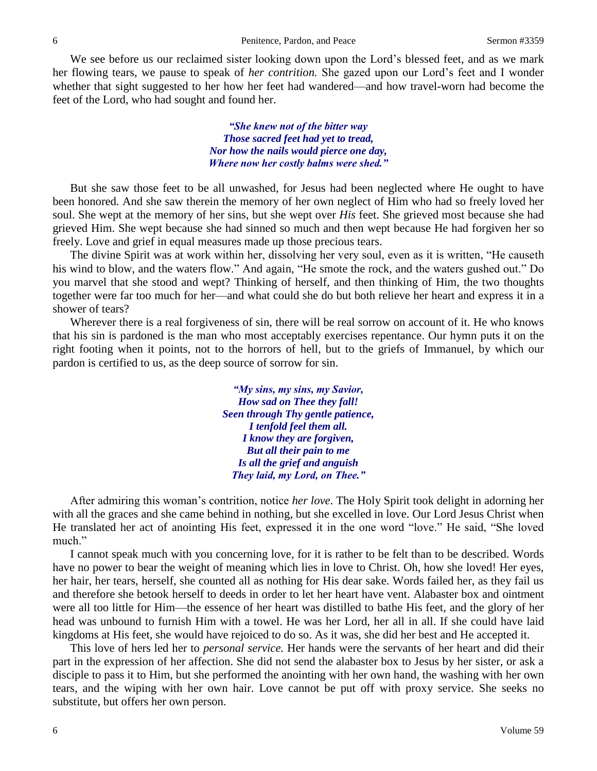We see before us our reclaimed sister looking down upon the Lord's blessed feet, and as we mark her flowing tears, we pause to speak of *her contrition.* She gazed upon our Lord's feet and I wonder whether that sight suggested to her how her feet had wandered—and how travel-worn had become the feet of the Lord, who had sought and found her.

> *"She knew not of the bitter way Those sacred feet had yet to tread, Nor how the nails would pierce one day, Where now her costly balms were shed."*

But she saw those feet to be all unwashed, for Jesus had been neglected where He ought to have been honored. And she saw therein the memory of her own neglect of Him who had so freely loved her soul. She wept at the memory of her sins, but she wept over *His* feet. She grieved most because she had grieved Him. She wept because she had sinned so much and then wept because He had forgiven her so freely. Love and grief in equal measures made up those precious tears.

The divine Spirit was at work within her, dissolving her very soul, even as it is written, "He causeth his wind to blow, and the waters flow." And again, "He smote the rock, and the waters gushed out." Do you marvel that she stood and wept? Thinking of herself, and then thinking of Him, the two thoughts together were far too much for her—and what could she do but both relieve her heart and express it in a shower of tears?

Wherever there is a real forgiveness of sin, there will be real sorrow on account of it. He who knows that his sin is pardoned is the man who most acceptably exercises repentance. Our hymn puts it on the right footing when it points, not to the horrors of hell, but to the griefs of Immanuel, by which our pardon is certified to us, as the deep source of sorrow for sin.

> *"My sins, my sins, my Savior, How sad on Thee they fall! Seen through Thy gentle patience, I tenfold feel them all. I know they are forgiven, But all their pain to me Is all the grief and anguish They laid, my Lord, on Thee."*

After admiring this woman's contrition, notice *her love*. The Holy Spirit took delight in adorning her with all the graces and she came behind in nothing, but she excelled in love. Our Lord Jesus Christ when He translated her act of anointing His feet, expressed it in the one word "love." He said, "She loved much."

I cannot speak much with you concerning love, for it is rather to be felt than to be described. Words have no power to bear the weight of meaning which lies in love to Christ. Oh, how she loved! Her eyes, her hair, her tears, herself, she counted all as nothing for His dear sake. Words failed her, as they fail us and therefore she betook herself to deeds in order to let her heart have vent. Alabaster box and ointment were all too little for Him—the essence of her heart was distilled to bathe His feet, and the glory of her head was unbound to furnish Him with a towel. He was her Lord, her all in all. If she could have laid kingdoms at His feet, she would have rejoiced to do so. As it was, she did her best and He accepted it.

This love of hers led her to *personal service.* Her hands were the servants of her heart and did their part in the expression of her affection. She did not send the alabaster box to Jesus by her sister, or ask a disciple to pass it to Him, but she performed the anointing with her own hand, the washing with her own tears, and the wiping with her own hair. Love cannot be put off with proxy service. She seeks no substitute, but offers her own person.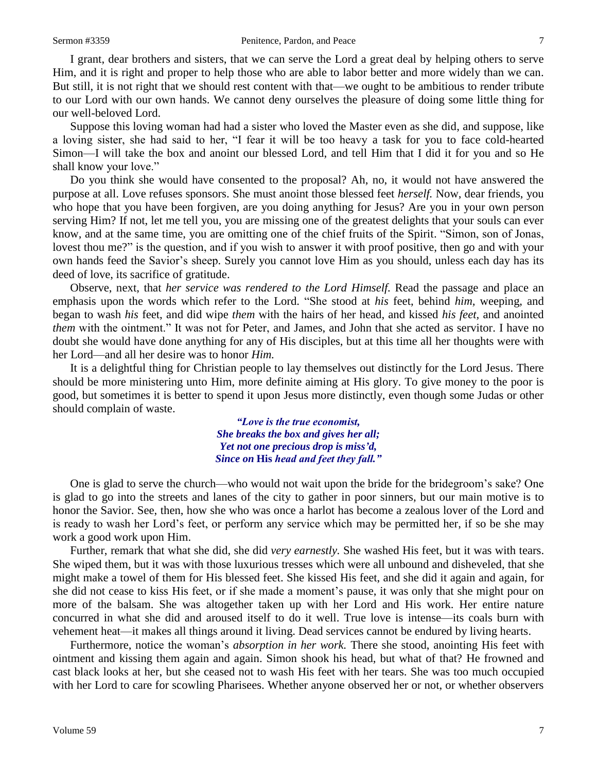I grant, dear brothers and sisters, that we can serve the Lord a great deal by helping others to serve Him, and it is right and proper to help those who are able to labor better and more widely than we can. But still, it is not right that we should rest content with that—we ought to be ambitious to render tribute to our Lord with our own hands. We cannot deny ourselves the pleasure of doing some little thing for our well-beloved Lord.

Suppose this loving woman had had a sister who loved the Master even as she did, and suppose, like a loving sister, she had said to her, "I fear it will be too heavy a task for you to face cold-hearted Simon—I will take the box and anoint our blessed Lord, and tell Him that I did it for you and so He shall know your love."

Do you think she would have consented to the proposal? Ah, no, it would not have answered the purpose at all. Love refuses sponsors. She must anoint those blessed feet *herself.* Now, dear friends, you who hope that you have been forgiven, are you doing anything for Jesus? Are you in your own person serving Him? If not, let me tell you, you are missing one of the greatest delights that your souls can ever know, and at the same time, you are omitting one of the chief fruits of the Spirit. "Simon, son of Jonas, lovest thou me?" is the question, and if you wish to answer it with proof positive, then go and with your own hands feed the Savior's sheep. Surely you cannot love Him as you should, unless each day has its deed of love, its sacrifice of gratitude.

Observe, next, that *her service was rendered to the Lord Himself.* Read the passage and place an emphasis upon the words which refer to the Lord. "She stood at *his* feet, behind *him,* weeping, and began to wash *his* feet, and did wipe *them* with the hairs of her head, and kissed *his feet,* and anointed *them* with the ointment." It was not for Peter, and James, and John that she acted as servitor. I have no doubt she would have done anything for any of His disciples, but at this time all her thoughts were with her Lord—and all her desire was to honor *Him.* 

It is a delightful thing for Christian people to lay themselves out distinctly for the Lord Jesus. There should be more ministering unto Him, more definite aiming at His glory. To give money to the poor is good, but sometimes it is better to spend it upon Jesus more distinctly, even though some Judas or other should complain of waste.

> *"Love is the true economist, She breaks the box and gives her all; Yet not one precious drop is miss'd, Since on* **His** *head and feet they fall."*

One is glad to serve the church—who would not wait upon the bride for the bridegroom's sake? One is glad to go into the streets and lanes of the city to gather in poor sinners, but our main motive is to honor the Savior. See, then, how she who was once a harlot has become a zealous lover of the Lord and is ready to wash her Lord's feet, or perform any service which may be permitted her, if so be she may work a good work upon Him.

Further, remark that what she did, she did *very earnestly.* She washed His feet, but it was with tears. She wiped them, but it was with those luxurious tresses which were all unbound and disheveled, that she might make a towel of them for His blessed feet. She kissed His feet, and she did it again and again, for she did not cease to kiss His feet, or if she made a moment's pause, it was only that she might pour on more of the balsam. She was altogether taken up with her Lord and His work. Her entire nature concurred in what she did and aroused itself to do it well. True love is intense—its coals burn with vehement heat—it makes all things around it living. Dead services cannot be endured by living hearts.

Furthermore, notice the woman's *absorption in her work.* There she stood, anointing His feet with ointment and kissing them again and again. Simon shook his head, but what of that? He frowned and cast black looks at her, but she ceased not to wash His feet with her tears. She was too much occupied with her Lord to care for scowling Pharisees. Whether anyone observed her or not, or whether observers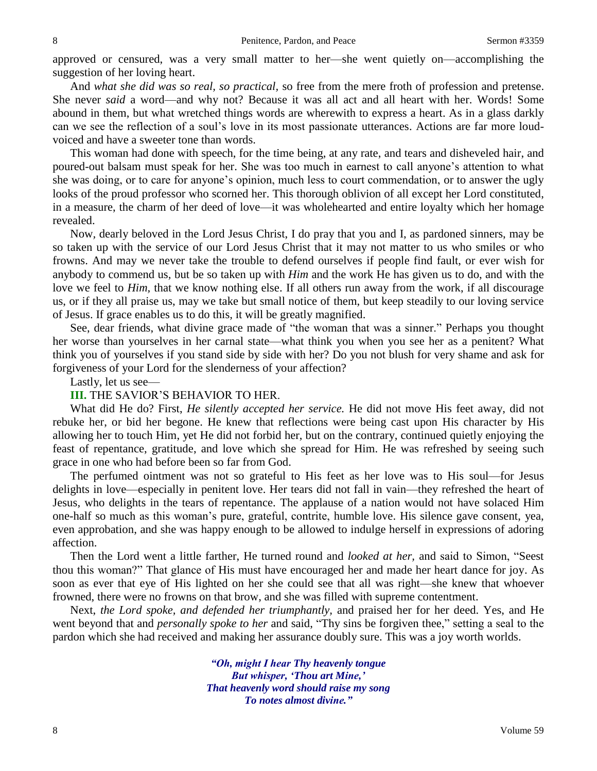approved or censured, was a very small matter to her—she went quietly on—accomplishing the suggestion of her loving heart.

And *what she did was so real, so practical,* so free from the mere froth of profession and pretense. She never *said* a word—and why not? Because it was all act and all heart with her. Words! Some abound in them, but what wretched things words are wherewith to express a heart. As in a glass darkly can we see the reflection of a soul's love in its most passionate utterances. Actions are far more loudvoiced and have a sweeter tone than words.

This woman had done with speech, for the time being, at any rate, and tears and disheveled hair, and poured-out balsam must speak for her. She was too much in earnest to call anyone's attention to what she was doing, or to care for anyone's opinion, much less to court commendation, or to answer the ugly looks of the proud professor who scorned her. This thorough oblivion of all except her Lord constituted, in a measure, the charm of her deed of love—it was wholehearted and entire loyalty which her homage revealed.

Now*,* dearly beloved in the Lord Jesus Christ, I do pray that you and I, as pardoned sinners, may be so taken up with the service of our Lord Jesus Christ that it may not matter to us who smiles or who frowns. And may we never take the trouble to defend ourselves if people find fault, or ever wish for anybody to commend us*,* but be so taken up with *Him* and the work He has given us to do, and with the love we feel to *Him*, that we know nothing else. If all others run away from the work, if all discourage us, or if they all praise us, may we take but small notice of them, but keep steadily to our loving service of Jesus. If grace enables us to do this*,* it will be greatly magnified.

See, dear friends, what divine grace made of "the woman that was a sinner." Perhaps you thought her worse than yourselves in her carnal state—what think you when you see her as a penitent? What think you of yourselves if you stand side by side with her? Do you not blush for very shame and ask for forgiveness of your Lord for the slenderness of your affection?

Lastly, let us see—

## **III.** THE SAVIOR'S BEHAVIOR TO HER.

What did He do? First, *He silently accepted her service.* He did not move His feet away, did not rebuke her, or bid her begone. He knew that reflections were being cast upon His character by His allowing her to touch Him, yet He did not forbid her, but on the contrary, continued quietly enjoying the feast of repentance, gratitude, and love which she spread for Him. He was refreshed by seeing such grace in one who had before been so far from God.

The perfumed ointment was not so grateful to His feet as her love was to His soul—for Jesus delights in love—especially in penitent love. Her tears did not fall in vain—they refreshed the heart of Jesus*,* who delights in the tears of repentance. The applause of a nation would not have solaced Him one-half so much as this woman's pure, grateful, contrite, humble love. His silence gave consent, yea, even approbation, and she was happy enough to be allowed to indulge herself in expressions of adoring affection.

Then the Lord went a little farther, He turned round and *looked at her,* and said to Simon, "Seest thou this woman?" That glance of His must have encouraged her and made her heart dance for joy. As soon as ever that eye of His lighted on her she could see that all was right—she knew that whoever frowned, there were no frowns on that brow, and she was filled with supreme contentment.

Next, *the Lord spoke, and defended her triumphantly,* and praised her for her deed. Yes, and He went beyond that and *personally spoke to her* and said, "Thy sins be forgiven thee," setting a seal to the pardon which she had received and making her assurance doubly sure. This was a joy worth worlds.

> *"Oh, might I hear Thy heavenly tongue But whisper, 'Thou art Mine,' That heavenly word should raise my song To notes almost divine."*